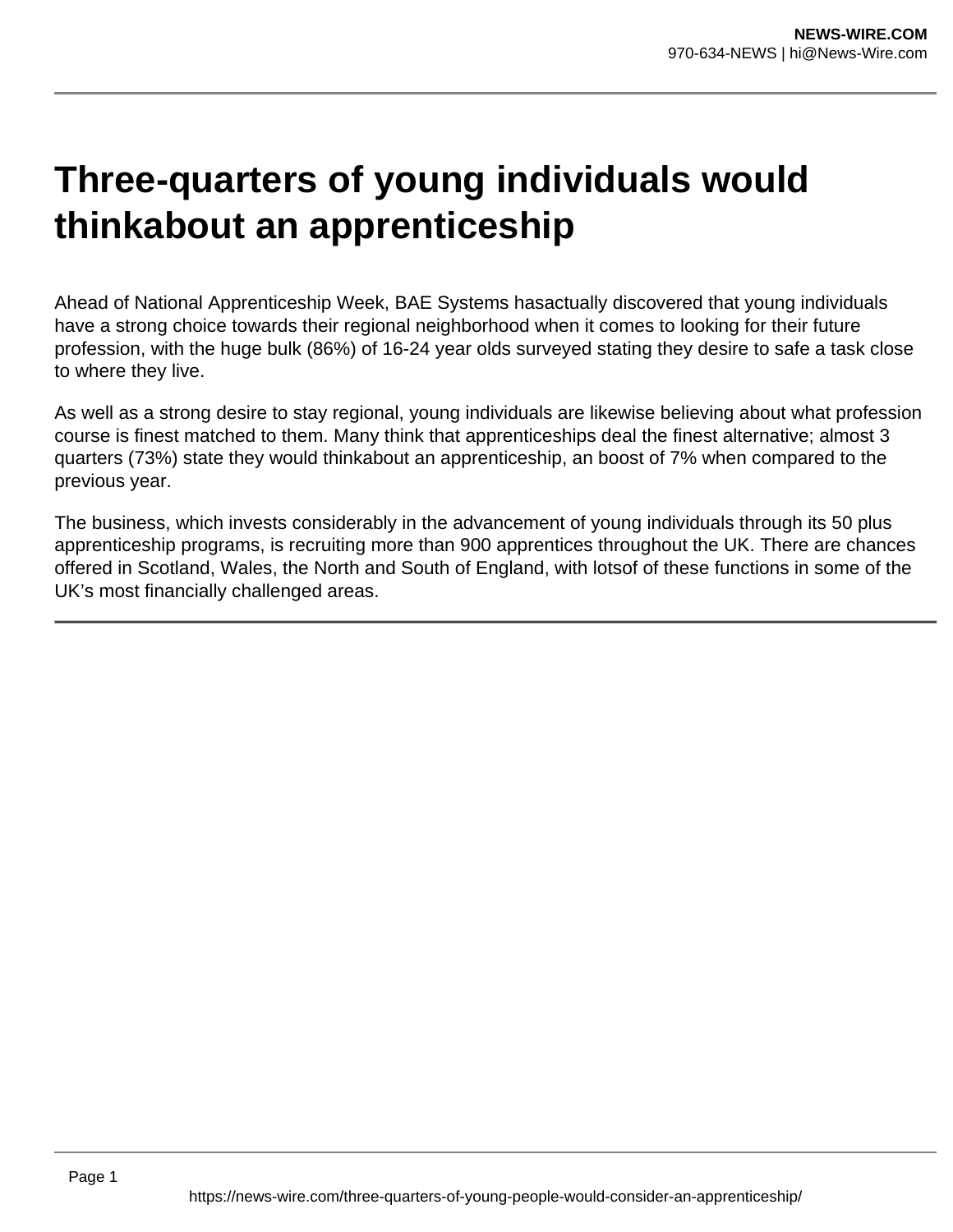# **Three-quarters of young individuals would thinkabout an apprenticeship**

Ahead of National Apprenticeship Week, BAE Systems hasactually discovered that young individuals have a strong choice towards their regional neighborhood when it comes to looking for their future profession, with the huge bulk (86%) of 16-24 year olds surveyed stating they desire to safe a task close to where they live.

As well as a strong desire to stay regional, young individuals are likewise believing about what profession course is finest matched to them. Many think that apprenticeships deal the finest alternative; almost 3 quarters (73%) state they would thinkabout an apprenticeship, an boost of 7% when compared to the previous year.

The business, which invests considerably in the advancement of young individuals through its 50 plus apprenticeship programs, is recruiting more than 900 apprentices throughout the UK. There are chances offered in Scotland, Wales, the North and South of England, with lotsof of these functions in some of the UK's most financially challenged areas.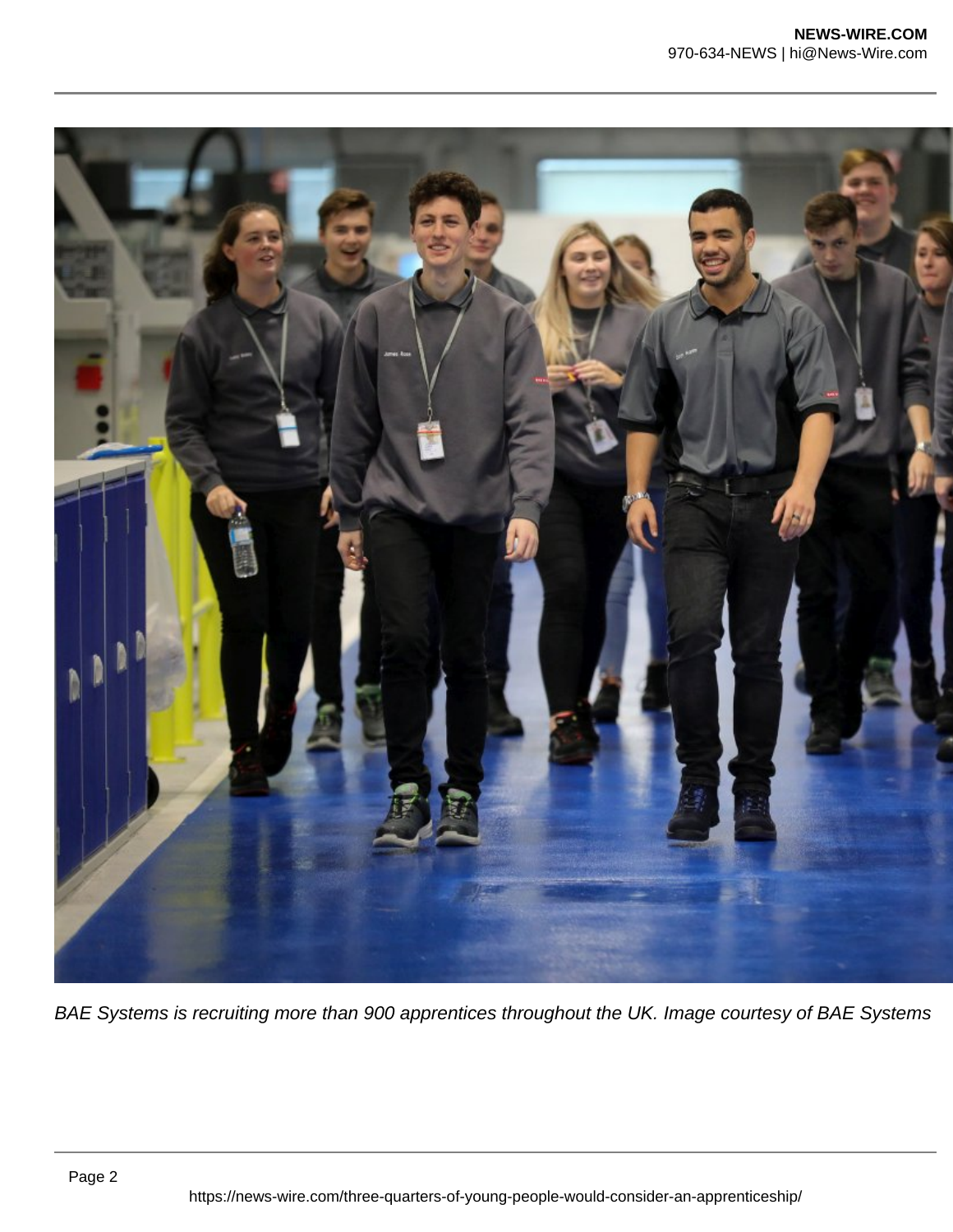

BAE Systems is recruiting more than 900 apprentices throughout the UK. Image courtesy of BAE Systems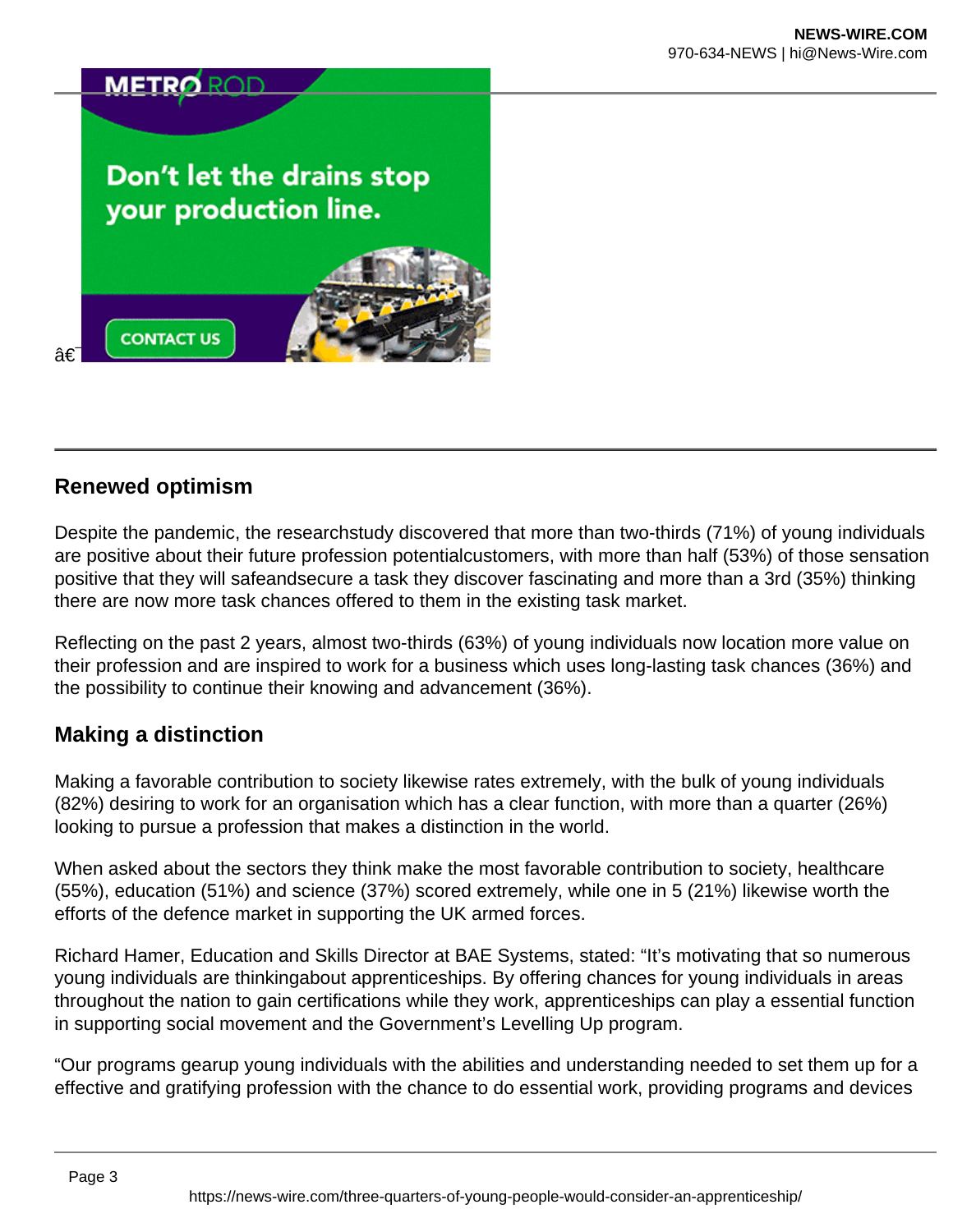## Don't let the drains stop your production line.



## **Renewed optimism**

â€

Despite the pandemic, the researchstudy discovered that more than two-thirds (71%) of young individuals are positive about their future profession potentialcustomers, with more than half (53%) of those sensation positive that they will safeandsecure a task they discover fascinating and more than a 3rd (35%) thinking there are now more task chances offered to them in the existing task market.

Reflecting on the past 2 years, almost two-thirds (63%) of young individuals now location more value on their profession and are inspired to work for a business which uses long-lasting task chances (36%) and the possibility to continue their knowing and advancement (36%).

### **Making a distinction**

Making a favorable contribution to society likewise rates extremely, with the bulk of young individuals (82%) desiring to work for an organisation which has a clear function, with more than a quarter (26%) looking to pursue a profession that makes a distinction in the world.

When asked about the sectors they think make the most favorable contribution to society, healthcare (55%), education (51%) and science (37%) scored extremely, while one in 5 (21%) likewise worth the efforts of the defence market in supporting the UK armed forces.

Richard Hamer, Education and Skills Director at BAE Systems, stated: "It's motivating that so numerous young individuals are thinkingabout apprenticeships. By offering chances for young individuals in areas throughout the nation to gain certifications while they work, apprenticeships can play a essential function in supporting social movement and the Government's Levelling Up program.

"Our programs gearup young individuals with the abilities and understanding needed to set them up for a effective and gratifying profession with the chance to do essential work, providing programs and devices